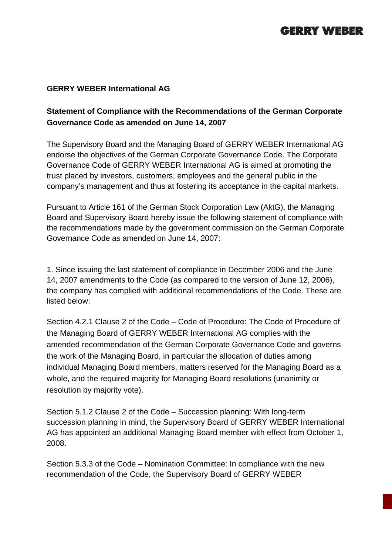# **GERRY WEBER**

#### **GERRY WEBER International AG**

### **Statement of Compliance with the Recommendations of the German Corporate Governance Code as amended on June 14, 2007**

The Supervisory Board and the Managing Board of GERRY WEBER International AG endorse the objectives of the German Corporate Governance Code. The Corporate Governance Code of GERRY WEBER International AG is aimed at promoting the trust placed by investors, customers, employees and the general public in the company's management and thus at fostering its acceptance in the capital markets.

Pursuant to Article 161 of the German Stock Corporation Law (AktG), the Managing Board and Supervisory Board hereby issue the following statement of compliance with the recommendations made by the government commission on the German Corporate Governance Code as amended on June 14, 2007:

1. Since issuing the last statement of compliance in December 2006 and the June 14, 2007 amendments to the Code (as compared to the version of June 12, 2006), the company has complied with additional recommendations of the Code. These are listed below:

Section 4.2.1 Clause 2 of the Code – Code of Procedure: The Code of Procedure of the Managing Board of GERRY WEBER International AG complies with the amended recommendation of the German Corporate Governance Code and governs the work of the Managing Board, in particular the allocation of duties among individual Managing Board members, matters reserved for the Managing Board as a whole, and the required majority for Managing Board resolutions (unanimity or resolution by majority vote).

Section 5.1.2 Clause 2 of the Code – Succession planning: With long-term succession planning in mind, the Supervisory Board of GERRY WEBER International AG has appointed an additional Managing Board member with effect from October 1, 2008.

Section 5.3.3 of the Code – Nomination Committee: In compliance with the new recommendation of the Code, the Supervisory Board of GERRY WEBER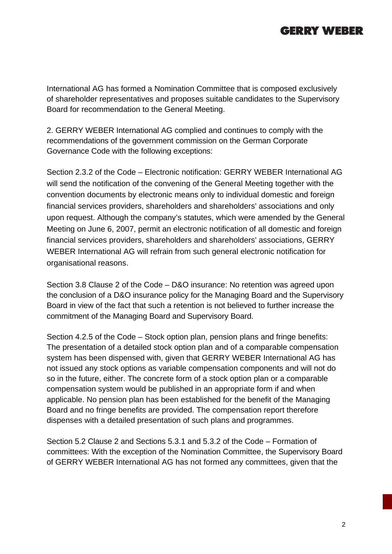# **GERRY WEBER**

International AG has formed a Nomination Committee that is composed exclusively of shareholder representatives and proposes suitable candidates to the Supervisory Board for recommendation to the General Meeting.

2. GERRY WEBER International AG complied and continues to comply with the recommendations of the government commission on the German Corporate Governance Code with the following exceptions:

Section 2.3.2 of the Code – Electronic notification: GERRY WEBER International AG will send the notification of the convening of the General Meeting together with the convention documents by electronic means only to individual domestic and foreign financial services providers, shareholders and shareholders' associations and only upon request. Although the company's statutes, which were amended by the General Meeting on June 6, 2007, permit an electronic notification of all domestic and foreign financial services providers, shareholders and shareholders' associations, GERRY WEBER International AG will refrain from such general electronic notification for organisational reasons.

Section 3.8 Clause 2 of the Code – D&O insurance: No retention was agreed upon the conclusion of a D&O insurance policy for the Managing Board and the Supervisory Board in view of the fact that such a retention is not believed to further increase the commitment of the Managing Board and Supervisory Board.

Section 4.2.5 of the Code – Stock option plan, pension plans and fringe benefits: The presentation of a detailed stock option plan and of a comparable compensation system has been dispensed with, given that GERRY WEBER International AG has not issued any stock options as variable compensation components and will not do so in the future, either. The concrete form of a stock option plan or a comparable compensation system would be published in an appropriate form if and when applicable. No pension plan has been established for the benefit of the Managing Board and no fringe benefits are provided. The compensation report therefore dispenses with a detailed presentation of such plans and programmes.

Section 5.2 Clause 2 and Sections 5.3.1 and 5.3.2 of the Code – Formation of committees: With the exception of the Nomination Committee, the Supervisory Board of GERRY WEBER International AG has not formed any committees, given that the